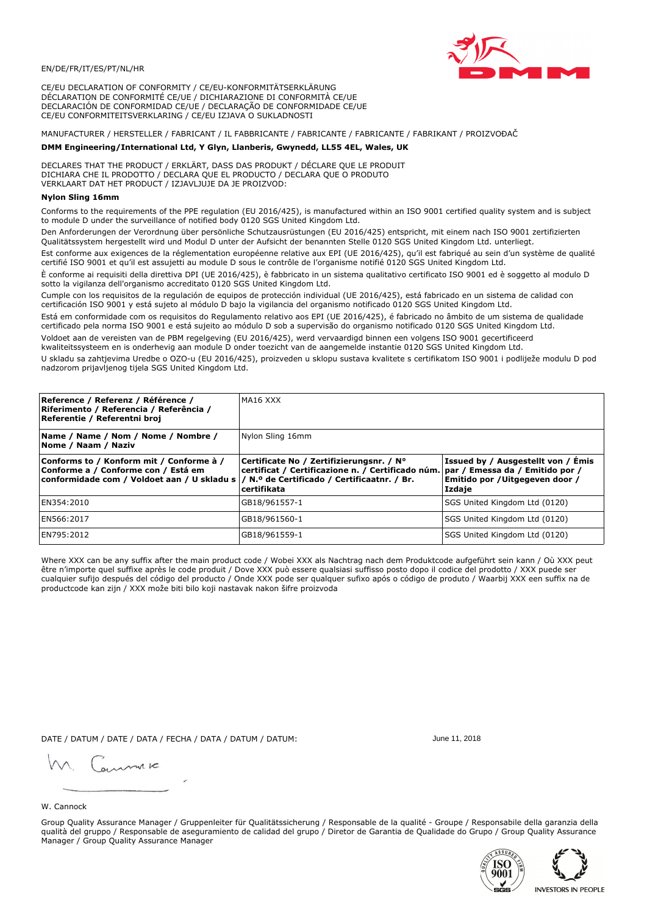

CE/EU DECLARATION OF CONFORMITY / CE/EU-KONFORMITÄTSERKLÄRUNG DÉCLARATION DE CONFORMITÉ CE/UE / DICHIARAZIONE DI CONFORMITÀ CE/UE DECLARACIÓN DE CONFORMIDAD CE/UE / DECLARAÇÃO DE CONFORMIDADE CE/UE CE/EU CONFORMITEITSVERKLARING / CE/EU IZJAVA O SUKLADNOSTI

MANUFACTURER / HERSTELLER / FABRICANT / IL FABBRICANTE / FABRICANTE / FABRICANTE / FABRIKANT / PROIZVOĐAČ

# DMM Engineering/International Ltd, Y Glyn, Llanberis, Gwynedd, LL55 4EL, Wales, UK

DECLARES THAT THE PRODUCT / ERKLÄRT, DASS DAS PRODUKT / DÉCLARE QUE LE PRODUIT<br>DICHIARA CHE IL PRODOTTO / DECLARA QUE EL PRODUCTO / DECLARA QUE O PRODUTO VERKLAART DAT HET PRODUCT / IZJAVLJUJE DA JE PROIZVOD:

# **Nylon Sling 16mm**

Conforms to the requirements of the PPE regulation (EU 2016/425), is manufactured within an ISO 9001 certified quality system and is subject to module D under the surveillance of notified body 0120 SGS United Kingdom Ltd.

Den Anforderungen der Verordnung über persönliche Schutzausrüstungen (EU 2016/425) entspricht, mit einem nach ISO 9001 zertifizierten Qualitätssystem hergestellt wird und Modul D unter der Aufsicht der benannten Stelle 0120 SGS United Kingdom Ltd. unterliegt.

Est conforme aux exigences de la réglementation européenne relative aux EPI (UE 2016/425), qu'il est fabriqué au sein d'un système de qualité certifié ISO 9001 et qu'il est assujetti au module D sous le contrôle de l'organisme notifié 0120 SGS United Kingdom Ltd.

È conforme ai requisiti della direttiva DPI (UE 2016/425), è fabbricato in un sistema qualitativo certificato ISO 9001 ed è soggetto al modulo D sotto la vigilanza dell'organismo accreditato 0120 SGS United Kingdom Ltd.

Cumple con los requisitos de la regulación de equipos de protección individual (UE 2016/425), está fabricado en un sistema de calidad con certificación ISO 9001 y está sujeto al módulo D bajo la vigilancia del organismo notificado 0120 SGS United Kingdom Ltd.

Está em conformidade com os requisitos do Regulamento relativo aos EPI (UE 2016/425), é fabricado no âmbito de um sistema de qualidade certificado pela norma ISO 9001 e está sujeito ao módulo D sob a supervisão do organismo notificado 0120 SGS United Kingdom Ltd. Voldoet aan de vereisten van de PBM regelgeving (EU 2016/425), werd vervaardigd binnen een volgens ISO 9001 gecertificeerd

kwaliteitssysteem en is onderhevig aan module D onder toezicht van de aangemelde instantie 0120 SGS United Kingdom Ltd.

U skladu sa zahtjevima Uredbe o OZO-u (EU 2016/425), proizveden u sklopu sustava kvalitete s certifikatom ISO 9001 i podliježe modulu D pod nadzorom prijavljenog tijela SGS United Kingdom Ltd.

| Reference / Referenz / Référence /<br>Riferimento / Referencia / Referência /<br>Referentie / Referentni broj                                                                | MA16 XXX                                                                                                     |                                                                                                                     |  |
|------------------------------------------------------------------------------------------------------------------------------------------------------------------------------|--------------------------------------------------------------------------------------------------------------|---------------------------------------------------------------------------------------------------------------------|--|
| Name / Name / Nom / Nome / Nombre /<br>Nome / Naam / Naziv                                                                                                                   | Nylon Sling 16mm                                                                                             |                                                                                                                     |  |
| Conforms to / Konform mit / Conforme à /<br>Conforme a / Conforme con / Está em<br>conformidade com / Voldoet aan / U skladu s   / N.º de Certificado / Certificaatnr. / Br. | Certificate No / Zertifizierungsnr. / N°<br>certificat / Certificazione n. / Certificado núm.<br>certifikata | Issued by / Ausgestellt von / Émis<br> par / Emessa da / Emitido por /<br>Emitido por / Uitgegeven door /<br>Izdaje |  |
| EN354:2010                                                                                                                                                                   | GB18/961557-1                                                                                                | SGS United Kingdom Ltd (0120)                                                                                       |  |
| EN566:2017                                                                                                                                                                   | GB18/961560-1                                                                                                | SGS United Kingdom Ltd (0120)                                                                                       |  |
| EN795:2012                                                                                                                                                                   | GB18/961559-1                                                                                                | SGS United Kingdom Ltd (0120)                                                                                       |  |

Where XXX can be any suffix after the main product code / Wobei XXX als Nachtrag nach dem Produktcode aufgeführt sein kann / Où XXX peut être n'importe quel suffixe après le code produit / Dove XXX può essere qualsiasi suffisso posto dopo il codice del prodotto / XXX puede ser cualquier sufijo después del código del producto / Onde XXX pode ser qualquer sufixo após o código de produto / Waarbij XXX een suffix na de productcode kan zijn / XXX može biti bilo koji nastavak nakon šifre proizvoda

DATE / DATUM / DATE / DATA / FECHA / DATA / DATUM / DATUM:

gimmic

June 11 2018



Group Quality Assurance Manager / Gruppenleiter für Qualitätssicherung / Responsable de la qualité - Groupe / Responsabile della garanzia della qualità del gruppo / Responsable de aseguramiento de calidad del grupo / Diretor de Garantia de Qualidade do Grupo / Group Quality Assurance Manager / Group Quality Assurance Manager



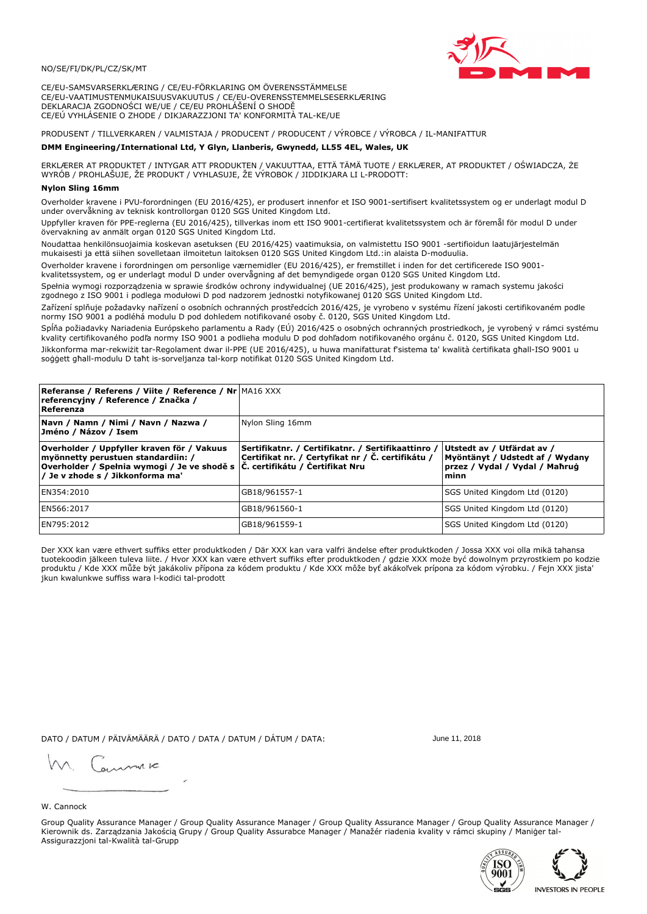#### NO/SE/FI/DK/PL/CZ/SK/MT

CE/EU-SAMSVARSERKLÆRING / CE/EU-FÖRKLARING OM ÖVERENSSTÄMMELSE CE/EU-VAATIMUSTENMUKAISUUSVAKUUTUS / CE/EU-OVERENSSTEMMELSESERKLÆRING DEKLARACJA ZGODNOŚCI WE/UE / CE/EU PROHLÁŠENÍ O SHODĚ CE/EÚ VYHLÁSENIE O ZHODE / DIKJARAZZJONI TA' KONFORMITÀ TAL-KE/UE

PRODUSENT / TILLVERKAREN / VALMISTAJA / PRODUCENT / PRODUCENT / VÝROBCE / VÝROBCA / IL-MANIFATTUR

#### DMM Engineering/International Ltd, Y Glyn, Llanberis, Gwynedd, LL55 4EL, Wales, UK

ERKLÆRER AT PRODUKTET / INTYGAR ATT PRODUKTEN / VAKUUTTAA, ETTÄ TÄMÄ TUOTE / ERKLÆRER, AT PRODUKTET / OŚWIADCZA, ŻE<br>WYRÓB / PROHLAŠUJE, ŽE PRODUKT / VYHLASUJE, ŽE VÝROBOK / JIDDIKJARA LI L-PRODOTT:

### **Nylon Sling 16mn**

Overholder kravene i PVU-forordningen (EU 2016/425), er produsert innenfor et ISO 9001-sertifisert kvalitetssystem og er underlagt modul D<br>under overvåkning av teknisk kontrollorgan 0120 SGS United Kingdom Ltd.

Uppfyller kraven för PPE-reglerna (EU 2016/425), tillverkas inom ett ISO 9001-certifierat kvalitetssystem och är föremål för modul D under övervakning av anmält organ 0120 SGS United Kingdom Ltd.

Noudattaa henkilönsuojaimia koskevan asetuksen (EU 2016/425) vaatimuksia, on valmistettu ISO 9001 -sertifioidun laatujärjestelmän mukaisesti ja että siihen sovelletaan ilmoitetun laitoksen 0120 SGS United Kingdom Ltd.:in alaista D-moduulia.

Overholder kravene i forordningen om personlige værnemidler (EU 2016/425), er fremstillet i inden for det certificerede ISO 9001kvalitetssystem, og er underlagt modul D under overvågning af det bemyndigede organ 0120 SGS United Kingdom Ltd.

Spełnia wymogi rozporządzenia w sprawie środków ochrony indywidualnej (UE 2016/425), jest produkowany w ramach systemu jakości zgodnego z ISO 9001 i podlega modułowi D pod nadzorem jednostki notyfikowanej 0120 SGS United Kingdom Ltd.

Zařízení splňuje požadavky nařízení o osobních ochranných prostředcích 2016/425, je vyrobeno v systému řízení jakosti certifikovaném podle normy ISO 9001 a podléhá modulu D pod dohledem notifikované osoby č. 0120, SGS United Kingdom Ltd.

Spĺňa požiadavky Nariadenia Európskeho parlamentu a Rady (EÚ) 2016/425 o osobných ochranných prostriedkoch, je vyrobený v rámci systému kvality certifikovaného podľa normy ISO 9001 a podlieha modulu D pod dohľadom notifikovaného orgánu č. 0120, SGS Únited Kingdom Ltd. Jikkonforma mar-rekwiżit tar-Regolament dwar il-PPE (UE 2016/425), u huwa manifatturat f'sistema ta' kwalità certifikata għall-ISO 9001 u soggett ghall-modulu D taht is-sorveljanza tal-korp notifikat 0120 SGS United Kingdom Ltd.

| <b>Referanse / Referens / Viite / Reference / Nr MA16 XXX</b><br>referencyjny / Reference / Značka /<br>Referenza                                                                                                 |                                                                                                         |                                                                                                         |
|-------------------------------------------------------------------------------------------------------------------------------------------------------------------------------------------------------------------|---------------------------------------------------------------------------------------------------------|---------------------------------------------------------------------------------------------------------|
| Navn / Namn / Nimi / Navn / Nazwa /<br>Jméno / Názov / Isem                                                                                                                                                       | Nylon Sling 16mm                                                                                        |                                                                                                         |
| Overholder / Uppfyller kraven för / Vakuus<br>myönnetty perustuen standardiin: /<br>$\mid$ Overholder / Spełnia wymogi / Je ve shodě s $\mid$ Č. certifikátu / Certifikat Nru<br>/ Je v zhode s / Jikkonforma ma' | Sertifikatnr. / Certifikatnr. / Sertifikaattinro /<br>Certifikat nr. / Certyfikat nr / Č. certifikátu / | Utstedt av / Utfärdat av /<br>Myöntänyt / Udstedt af / Wydany<br>przez / Vydal / Vydal / Mahrug<br>minn |
| EN354:2010                                                                                                                                                                                                        | GB18/961557-1                                                                                           | SGS United Kingdom Ltd (0120)                                                                           |
| EN566:2017                                                                                                                                                                                                        | GB18/961560-1                                                                                           | SGS United Kingdom Ltd (0120)                                                                           |
| EN795:2012                                                                                                                                                                                                        | GB18/961559-1                                                                                           | SGS United Kingdom Ltd (0120)                                                                           |

Der XXX kan være ethvert suffiks etter produktkoden / Där XXX kan vara valfri ändelse efter produktkoden / Jossa XXX voi olla mikä tahansa tuotekoodin jälkeen tuleva liite. / Hvor XXX kan være ethvert suffiks efter produktkoden / gdzie XXX może być dowolnym przyrostkiem po kodzie produktu / Kde XXX může být jakákoliv přípona za kódem produktu / Kde XXX môže byť akákoľvek prípona za kódom výrobku. / Fejn XXX jista' jkun kwalunkwe suffiss wara l-kodici tal-prodott

DATO / DATUM / PÄIVÄMÄÄRÄ / DATO / DATA / DATUM / DÁTUM / DATA:

June 11, 2018

annuic

# W. Cannock

Group Quality Assurance Manager / Group Quality Assurance Manager / Group Quality Assurance Manager / Group Quality Assurance Manager / Kierownik ds. Zarządzania Jakością Grupy / Group Quality Assurabce Manager / Manažér riadenia kvality v rámci skupiny / Maniger tal-Assigurazzjoni tal-Kwalità tal-Grupp